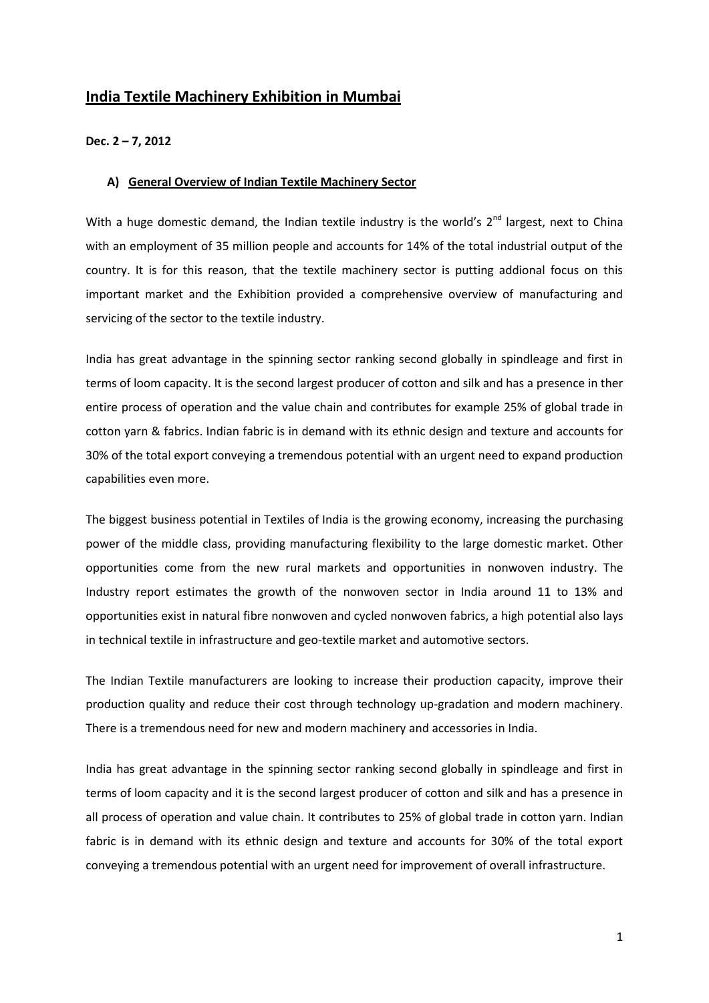# **India Textile Machinery Exhibition in Mumbai**

#### **Dec. 2 – 7, 2012**

#### **A) General Overview of Indian Textile Machinery Sector**

With a huge domestic demand, the Indian textile industry is the world's  $2^{nd}$  largest, next to China with an employment of 35 million people and accounts for 14% of the total industrial output of the country. It is for this reason, that the textile machinery sector is putting addional focus on this important market and the Exhibition provided a comprehensive overview of manufacturing and servicing of the sector to the textile industry.

India has great advantage in the spinning sector ranking second globally in spindleage and first in terms of loom capacity. It is the second largest producer of cotton and silk and has a presence in ther entire process of operation and the value chain and contributes for example 25% of global trade in cotton yarn & fabrics. Indian fabric is in demand with its ethnic design and texture and accounts for 30% of the total export conveying a tremendous potential with an urgent need to expand production capabilities even more.

The biggest business potential in Textiles of India is the growing economy, increasing the purchasing power of the middle class, providing manufacturing flexibility to the large domestic market. Other opportunities come from the new rural markets and opportunities in nonwoven industry. The Industry report estimates the growth of the nonwoven sector in India around 11 to 13% and opportunities exist in natural fibre nonwoven and cycled nonwoven fabrics, a high potential also lays in technical textile in infrastructure and geo-textile market and automotive sectors.

The Indian Textile manufacturers are looking to increase their production capacity, improve their production quality and reduce their cost through technology up-gradation and modern machinery. There is a tremendous need for new and modern machinery and accessories in India.

India has great advantage in the spinning sector ranking second globally in spindleage and first in terms of loom capacity and it is the second largest producer of cotton and silk and has a presence in all process of operation and value chain. It contributes to 25% of global trade in cotton yarn. Indian fabric is in demand with its ethnic design and texture and accounts for 30% of the total export conveying a tremendous potential with an urgent need for improvement of overall infrastructure.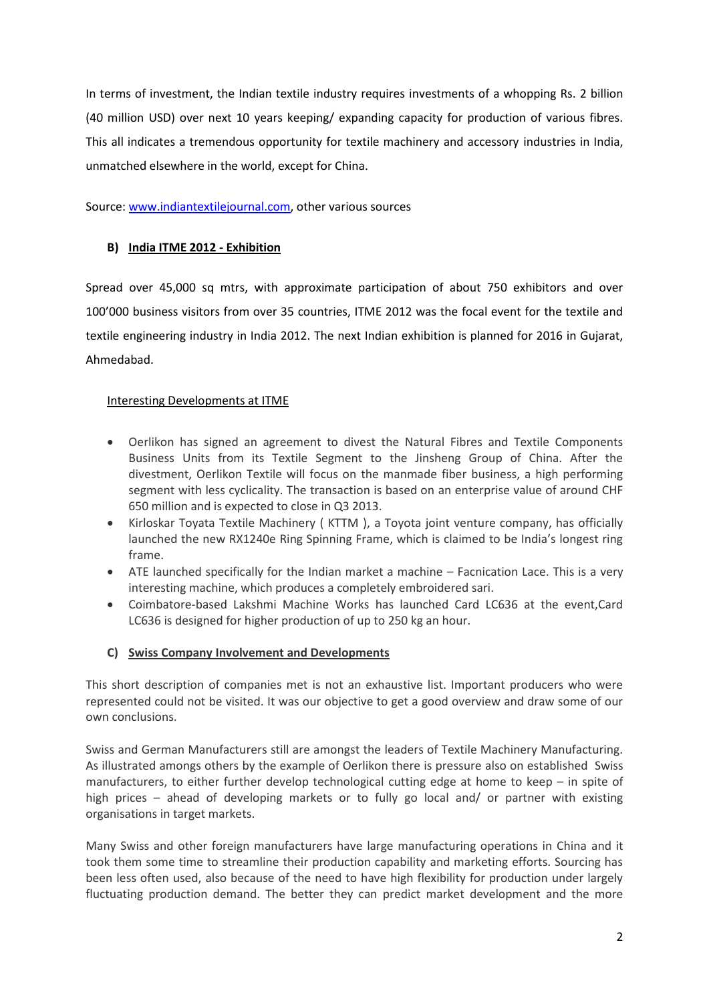In terms of investment, the Indian textile industry requires investments of a whopping Rs. 2 billion (40 million USD) over next 10 years keeping/ expanding capacity for production of various fibres. This all indicates a tremendous opportunity for textile machinery and accessory industries in India, unmatched elsewhere in the world, except for China.

Source: [www.indiantextilejournal.com,](http://www.indiantextilejournal.com/) other various sources

### **B) India ITME 2012 - Exhibition**

Spread over 45,000 sq mtrs, with approximate participation of about 750 exhibitors and over 100'000 business visitors from over 35 countries, ITME 2012 was the focal event for the textile and textile engineering industry in India 2012. The next Indian exhibition is planned for 2016 in Gujarat, Ahmedabad.

## Interesting Developments at ITME

- Oerlikon has signed an agreement to divest the Natural Fibres and Textile Components Business Units from its Textile Segment to the Jinsheng Group of China. After the divestment, Oerlikon Textile will focus on the manmade fiber business, a high performing segment with less cyclicality. The transaction is based on an enterprise value of around CHF 650 million and is expected to close in Q3 2013.
- Kirloskar Toyata Textile Machinery ( KTTM ), a Toyota joint venture company, has officially launched the new RX1240e Ring Spinning Frame, which is claimed to be India's longest ring frame.
- ATE launched specifically for the Indian market a machine Facnication Lace. This is a very interesting machine, which produces a completely embroidered sari.
- Coimbatore-based Lakshmi Machine Works has launched Card LC636 at the event,Card LC636 is designed for higher production of up to 250 kg an hour.

## **C) Swiss Company Involvement and Developments**

This short description of companies met is not an exhaustive list. Important producers who were represented could not be visited. It was our objective to get a good overview and draw some of our own conclusions.

Swiss and German Manufacturers still are amongst the leaders of Textile Machinery Manufacturing. As illustrated amongs others by the example of Oerlikon there is pressure also on established Swiss manufacturers, to either further develop technological cutting edge at home to keep – in spite of high prices – ahead of developing markets or to fully go local and/ or partner with existing organisations in target markets.

Many Swiss and other foreign manufacturers have large manufacturing operations in China and it took them some time to streamline their production capability and marketing efforts. Sourcing has been less often used, also because of the need to have high flexibility for production under largely fluctuating production demand. The better they can predict market development and the more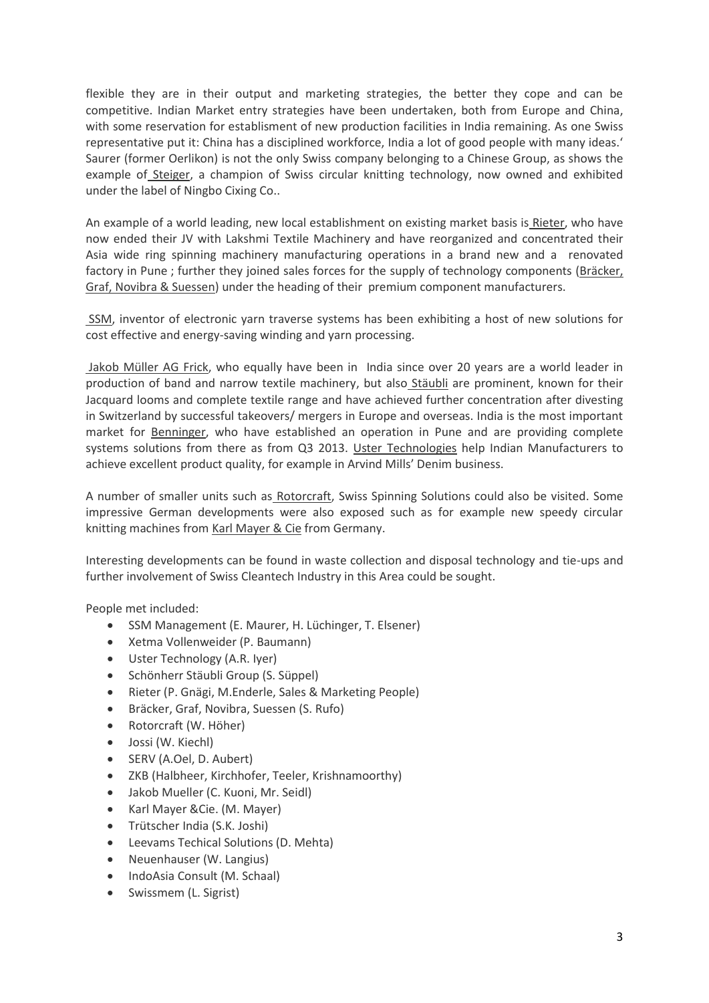flexible they are in their output and marketing strategies, the better they cope and can be competitive. Indian Market entry strategies have been undertaken, both from Europe and China, with some reservation for establisment of new production facilities in India remaining. As one Swiss representative put it: China has a disciplined workforce, India a lot of good people with many ideas.' Saurer (former Oerlikon) is not the only Swiss company belonging to a Chinese Group, as shows the example of Steiger, a champion of Swiss circular knitting technology, now owned and exhibited under the label of Ningbo Cixing Co..

An example of a world leading, new local establishment on existing market basis is Rieter, who have now ended their JV with Lakshmi Textile Machinery and have reorganized and concentrated their Asia wide ring spinning machinery manufacturing operations in a brand new and a renovated factory in Pune ; further they joined sales forces for the supply of technology components (Bräcker, Graf, Novibra & Suessen) under the heading of their premium component manufacturers.

SSM, inventor of electronic yarn traverse systems has been exhibiting a host of new solutions for cost effective and energy-saving winding and yarn processing.

Jakob Müller AG Frick, who equally have been in India since over 20 years are a world leader in production of band and narrow textile machinery, but also Stäubli are prominent, known for their Jacquard looms and complete textile range and have achieved further concentration after divesting in Switzerland by successful takeovers/ mergers in Europe and overseas. India is the most important market for Benninger, who have established an operation in Pune and are providing complete systems solutions from there as from Q3 2013. Uster Technologies help Indian Manufacturers to achieve excellent product quality, for example in Arvind Mills' Denim business.

A number of smaller units such as Rotorcraft, Swiss Spinning Solutions could also be visited. Some impressive German developments were also exposed such as for example new speedy circular knitting machines from Karl Mayer & Cie from Germany.

Interesting developments can be found in waste collection and disposal technology and tie-ups and further involvement of Swiss Cleantech Industry in this Area could be sought.

People met included:

- SSM Management (E. Maurer, H. Lüchinger, T. Elsener)
- Xetma Vollenweider (P. Baumann)
- Uster Technology (A.R. Iyer)
- Schönherr Stäubli Group (S. Süppel)
- Rieter (P. Gnägi, M.Enderle, Sales & Marketing People)
- Bräcker, Graf, Novibra, Suessen (S. Rufo)
- Rotorcraft (W. Höher)
- Jossi (W. Kiechl)
- SERV (A.Oel, D. Aubert)
- ZKB (Halbheer, Kirchhofer, Teeler, Krishnamoorthy)
- Jakob Mueller (C. Kuoni, Mr. Seidl)
- Karl Mayer &Cie. (M. Mayer)
- Trütscher India (S.K. Joshi)
- Leevams Techical Solutions (D. Mehta)
- Neuenhauser (W. Langius)
- IndoAsia Consult (M. Schaal)
- Swissmem (L. Sigrist)